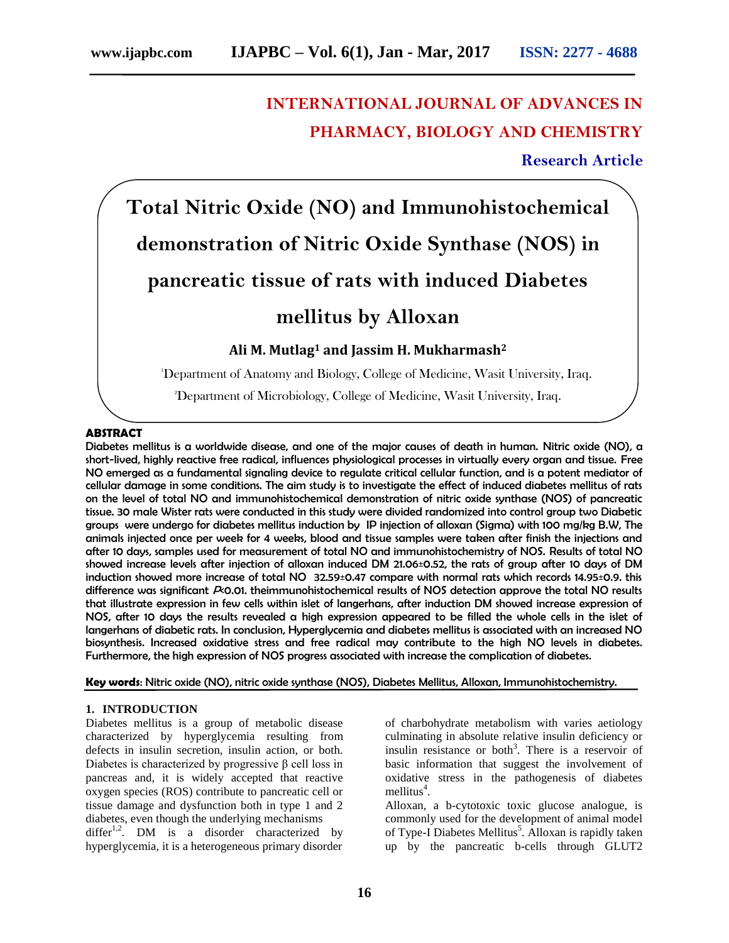# **INTERNATIONAL JOURNAL OF ADVANCES IN PHARMACY, BIOLOGY AND CHEMISTRY**

**Research Article**

# **Total Nitric Oxide (NO) and Immunohistochemical demonstration of Nitric Oxide Synthase (NOS) in pancreatic tissue of rats with induced Diabetes mellitus by Alloxan Ali M. Mutlag<sup>1</sup> and Jassim H. Mukharmash<sup>2</sup>**

<sup>1</sup>Department of Anatomy and Biology, College of Medicine, Wasit University, Iraq.

<sup>2</sup>Department of Microbiology, College of Medicine, Wasit University, Iraq.

# **ABSTRACT**

Diabetes mellitus is a worldwide disease, and one of the major causes of death in human. Nitric oxide (NO), a short-lived, highly reactive free radical, influences physiological processes in virtually every organ and tissue. Free NO emerged as a fundamental signaling device to regulate critical cellular function, and is a potent mediator of cellular damage in some conditions. The aim study is to investigate the effect of induced diabetes mellitus of rats on the level of total NO and immunohistochemical demonstration of nitric oxide synthase (NOS) of pancreatic tissue. 30 male Wister rats were conducted in this study were divided randomized into control group two Diabetic groups were undergo for diabetes mellitus induction by IP injection of alloxan (Sigma) with 100 mg/kg B.W, The animals injected once per week for 4 weeks, blood and tissue samples were taken after finish the injections and after 10 days, samples used for measurement of total NO and immunohistochemistry of NOS. Results of total NO showed increase levels after injection of alloxan induced DM 21.06±0.52, the rats of group after 10 days of DM induction showed more increase of total NO 32.59±0.47 compare with normal rats which records 14.95±0.9. this difference was significant  $P$ 0.01. theimmunohistochemical results of NOS detection approve the total NO results that illustrate expression in few cells within islet of langerhans, after induction DM showed increase expression of NOS, after 10 days the results revealed a high expression appeared to be filled the whole cells in the islet of langerhans of diabetic rats. In conclusion, Hyperglycemia and diabetes mellitus is associated with an increased NO biosynthesis. Increased oxidative stress and free radical may contribute to the high NO levels in diabetes. Furthermore, the high expression of NOS progress associated with increase the complication of diabetes.

**Key words**: Nitric oxide (NO), nitric oxide synthase (NOS), Diabetes Mellitus, Alloxan, Immunohistochemistry.

# **1. INTRODUCTION**

Diabetes mellitus is a group of metabolic disease characterized by hyperglycemia resulting from defects in insulin secretion, insulin action, or both. Diabetes is characterized by progressive β cell loss in pancreas and, it is widely accepted that reactive oxygen species (ROS) contribute to pancreatic cell or tissue damage and dysfunction both in type 1 and 2 diabetes, even though the underlying mechanisms differ<sup>1,2</sup>. DM is a disorder characterized by hyperglycemia, it is a heterogeneous primary disorder

of charbohydrate metabolism with varies aetiology culminating in absolute relative insulin deficiency or insulin resistance or both<sup>3</sup>. There is a reservoir of basic information that suggest the involvement of oxidative stress in the pathogenesis of diabetes mellitus<sup>4</sup>.

Alloxan, a b-cytotoxic toxic glucose analogue, is commonly used for the development of animal model of Type-I Diabetes Mellitus<sup>5</sup>. Alloxan is rapidly taken up by the pancreatic b-cells through GLUT2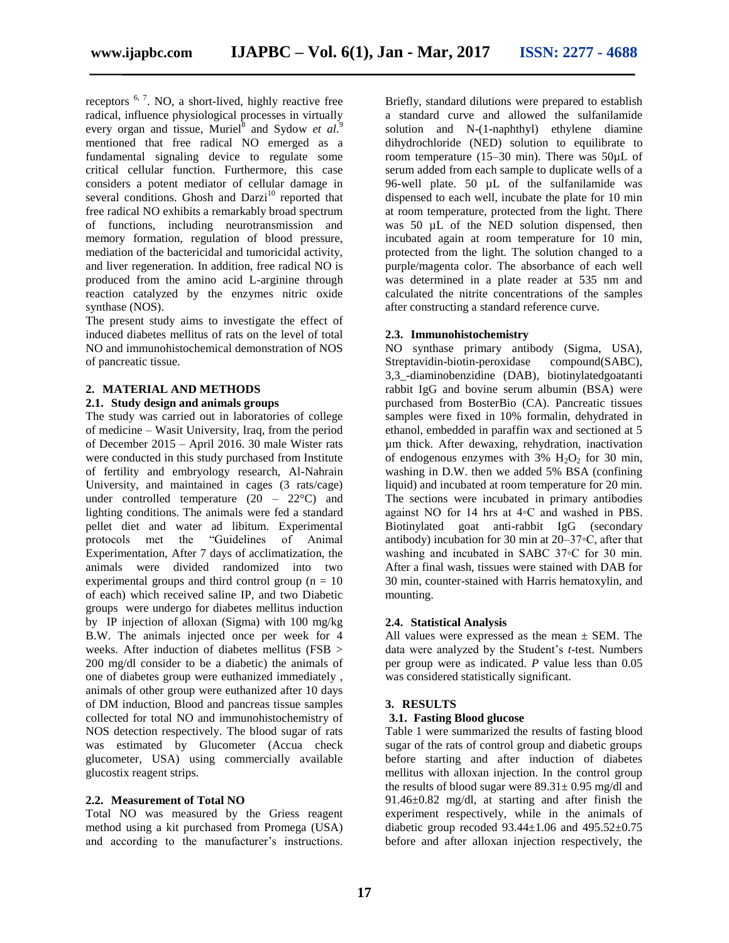receptors  $6, 7$ . NO, a short-lived, highly reactive free radical, influence physiological processes in virtually every organ and tissue, Muriel<sup>8</sup> and Sydow *et al.*<sup>9</sup> mentioned that free radical NO emerged as a fundamental signaling device to regulate some critical cellular function. Furthermore, this case considers a potent mediator of cellular damage in several conditions. Ghosh and Darzi<sup>10</sup> reported that free radical NO exhibits a remarkably broad spectrum of functions, including neurotransmission and memory formation, regulation of blood pressure, mediation of the bactericidal and tumoricidal activity, and liver regeneration. In addition, free radical NO is produced from the amino acid L-arginine through reaction catalyzed by the enzymes nitric oxide synthase (NOS).

The present study aims to investigate the effect of induced diabetes mellitus of rats on the level of total NO and immunohistochemical demonstration of NOS of pancreatic tissue.

# **2. MATERIAL AND METHODS**

#### **2.1. Study design and animals groups**

The study was carried out in laboratories of college of medicine – Wasit University, Iraq, from the period of December 2015 – April 2016. 30 male Wister rats were conducted in this study purchased from Institute of fertility and embryology research, Al-Nahrain University, and maintained in cages (3 rats/cage) under controlled temperature  $(20 - 22^{\circ}C)$  and lighting conditions. The animals were fed a standard pellet diet and water ad libitum. Experimental protocols met the "Guidelines of Animal Experimentation, After 7 days of acclimatization, the animals were divided randomized into two experimental groups and third control group ( $n = 10$ ) of each) which received saline IP, and two Diabetic groups were undergo for diabetes mellitus induction by IP injection of alloxan (Sigma) with 100 mg/kg B.W. The animals injected once per week for 4 weeks. After induction of diabetes mellitus (FSB > 200 mg/dl consider to be a diabetic) the animals of one of diabetes group were euthanized immediately , animals of other group were euthanized after 10 days of DM induction, Blood and pancreas tissue samples collected for total NO and immunohistochemistry of NOS detection respectively. The blood sugar of rats was estimated by Glucometer (Accua check glucometer, USA) using commercially available glucostix reagent strips.

#### **2.2. Measurement of Total NO**

Total NO was measured by the Griess reagent method using a kit purchased from Promega (USA) and according to the manufacturer's instructions.

Briefly, standard dilutions were prepared to establish a standard curve and allowed the sulfanilamide solution and N-(1-naphthyl) ethylene diamine dihydrochloride (NED) solution to equilibrate to room temperature (15–30 min). There was 50µL of serum added from each sample to duplicate wells of a 96-well plate. 50 µL of the sulfanilamide was dispensed to each well, incubate the plate for 10 min at room temperature, protected from the light. There was 50  $\mu$ L of the NED solution dispensed, then incubated again at room temperature for 10 min, protected from the light. The solution changed to a purple/magenta color. The absorbance of each well was determined in a plate reader at 535 nm and calculated the nitrite concentrations of the samples after constructing a standard reference curve.

### **2.3. Immunohistochemistry**

NO synthase primary antibody (Sigma, USA), Streptavidin-biotin-peroxidase compound(SABC), 3,3\_-diaminobenzidine (DAB), biotinylatedgoatanti rabbit IgG and bovine serum albumin (BSA) were purchased from BosterBio (CA). Pancreatic tissues samples were fixed in 10% formalin, dehydrated in ethanol, embedded in paraffin wax and sectioned at 5 µm thick. After dewaxing, rehydration, inactivation of endogenous enzymes with  $3\%$  H<sub>2</sub>O<sub>2</sub> for 30 min, washing in D.W. then we added 5% BSA (confining liquid) and incubated at room temperature for 20 min. The sections were incubated in primary antibodies against NO for 14 hrs at 4◦C and washed in PBS. Biotinylated goat anti-rabbit IgG (secondary antibody) incubation for 30 min at 20–37◦C, after that washing and incubated in SABC 37◦C for 30 min. After a final wash, tissues were stained with DAB for 30 min, counter-stained with Harris hematoxylin, and mounting.

# **2.4. Statistical Analysis**

All values were expressed as the mean  $\pm$  SEM. The data were analyzed by the Student's *t*-test. Numbers per group were as indicated. *P* value less than 0.05 was considered statistically significant.

# **3. RESULTS**

#### **3.1. Fasting Blood glucose**

Table 1 were summarized the results of fasting blood sugar of the rats of control group and diabetic groups before starting and after induction of diabetes mellitus with alloxan injection. In the control group the results of blood sugar were  $89.31 \pm 0.95$  mg/dl and 91.46±0.82 mg/dl, at starting and after finish the experiment respectively, while in the animals of diabetic group recoded  $93.44 \pm 1.06$  and  $495.52 \pm 0.75$ before and after alloxan injection respectively, the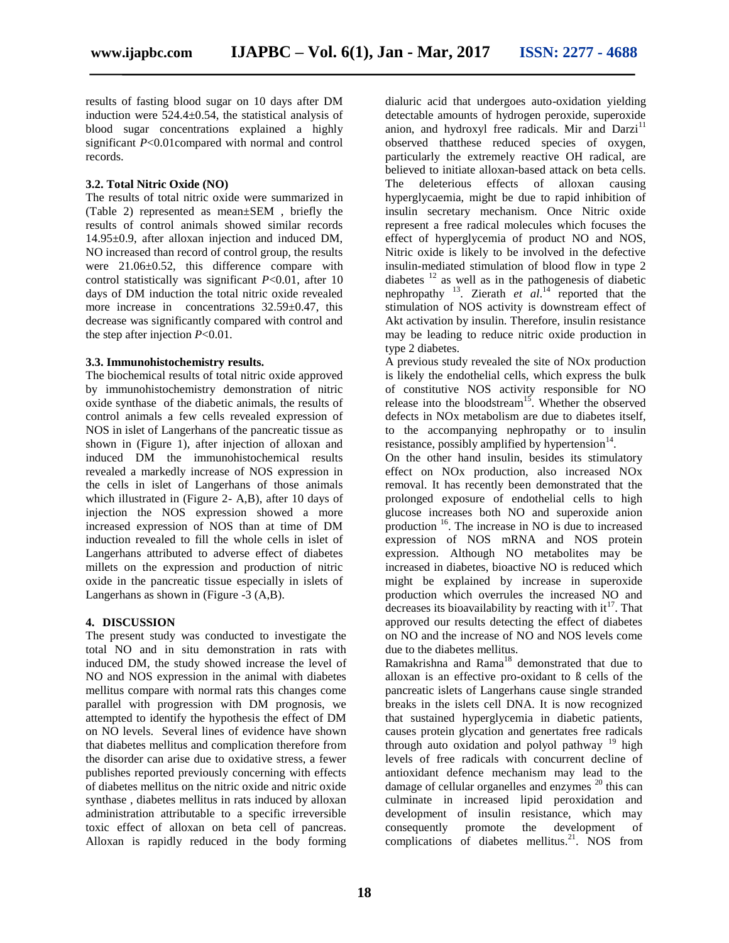results of fasting blood sugar on 10 days after DM induction were 524.4±0.54, the statistical analysis of blood sugar concentrations explained a highly significant *P*<0.01compared with normal and control records.

### **3.2. Total Nitric Oxide (NO)**

The results of total nitric oxide were summarized in (Table 2) represented as mean±SEM , briefly the results of control animals showed similar records 14.95±0.9, after alloxan injection and induced DM, NO increased than record of control group, the results were  $21.06 \pm 0.52$ , this difference compare with control statistically was significant *P*<0.01, after 10 days of DM induction the total nitric oxide revealed more increase in concentrations  $32.59 \pm 0.47$ , this decrease was significantly compared with control and the step after injection *P*<0.01.

## **3.3. Immunohistochemistry results.**

The biochemical results of total nitric oxide approved by immunohistochemistry demonstration of nitric oxide synthase of the diabetic animals, the results of control animals a few cells revealed expression of NOS in islet of Langerhans of the pancreatic tissue as shown in (Figure 1), after injection of alloxan and induced DM the immunohistochemical results revealed a markedly increase of NOS expression in the cells in islet of Langerhans of those animals which illustrated in (Figure 2- A,B), after 10 days of injection the NOS expression showed a more increased expression of NOS than at time of DM induction revealed to fill the whole cells in islet of Langerhans attributed to adverse effect of diabetes millets on the expression and production of nitric oxide in the pancreatic tissue especially in islets of Langerhans as shown in (Figure -3 (A,B).

# **4. DISCUSSION**

The present study was conducted to investigate the total NO and in situ demonstration in rats with induced DM, the study showed increase the level of NO and NOS expression in the animal with diabetes mellitus compare with normal rats this changes come parallel with progression with DM prognosis, we attempted to identify the hypothesis the effect of DM on NO levels. Several lines of evidence have shown that diabetes mellitus and complication therefore from the disorder can arise due to oxidative stress, a fewer publishes reported previously concerning with effects of diabetes mellitus on the nitric oxide and nitric oxide synthase , diabetes mellitus in rats induced by alloxan administration attributable to a specific irreversible toxic effect of alloxan on beta cell of pancreas. Alloxan is rapidly reduced in the body forming dialuric acid that undergoes auto-oxidation yielding detectable amounts of hydrogen peroxide, superoxide anion, and hydroxyl free radicals. Mir and Darzi<sup>11</sup> observed thatthese reduced species of oxygen, particularly the extremely reactive OH radical, are believed to initiate alloxan-based attack on beta cells. The deleterious effects of alloxan causing hyperglycaemia, might be due to rapid inhibition of insulin secretary mechanism. Once Nitric oxide represent a free radical molecules which focuses the effect of hyperglycemia of product NO and NOS, Nitric oxide is likely to be involved in the defective insulin-mediated stimulation of blood flow in type 2 diabetes  $12$  as well as in the pathogenesis of diabetic nephropathy  $^{13}$ . Zierath *et al.*<sup>14</sup> reported that the stimulation of NOS activity is downstream effect of Akt activation by insulin. Therefore, insulin resistance may be leading to reduce nitric oxide production in type 2 diabetes.

A previous study revealed the site of NOx production is likely the endothelial cells, which express the bulk of constitutive NOS activity responsible for NO release into the bloodstream<sup>15</sup>. Whether the observed defects in NOx metabolism are due to diabetes itself, to the accompanying nephropathy or to insulin resistance, possibly amplified by hypertension $14$ .

On the other hand insulin, besides its stimulatory effect on NOx production, also increased NOx removal. It has recently been demonstrated that the prolonged exposure of endothelial cells to high glucose increases both NO and superoxide anion production <sup>16</sup>. The increase in NO is due to increased expression of NOS mRNA and NOS protein expression. Although NO metabolites may be increased in diabetes, bioactive NO is reduced which might be explained by increase in superoxide production which overrules the increased NO and decreases its bioavailability by reacting with  $it^{17}$ . That approved our results detecting the effect of diabetes on NO and the increase of NO and NOS levels come due to the diabetes mellitus.

Ramakrishna and Rama<sup>18</sup> demonstrated that due to alloxan is an effective pro-oxidant to ß cells of the pancreatic islets of Langerhans cause single stranded breaks in the islets cell DNA. It is now recognized that sustained hyperglycemia in diabetic patients, causes protein glycation and genertates free radicals through auto oxidation and polyol pathway  $19$  high levels of free radicals with concurrent decline of antioxidant defence mechanism may lead to the damage of cellular organelles and enzymes <sup>20</sup> this can culminate in increased lipid peroxidation and development of insulin resistance, which may consequently promote the development of promote the development of complications of diabetes mellitus.<sup>21</sup>. NOS from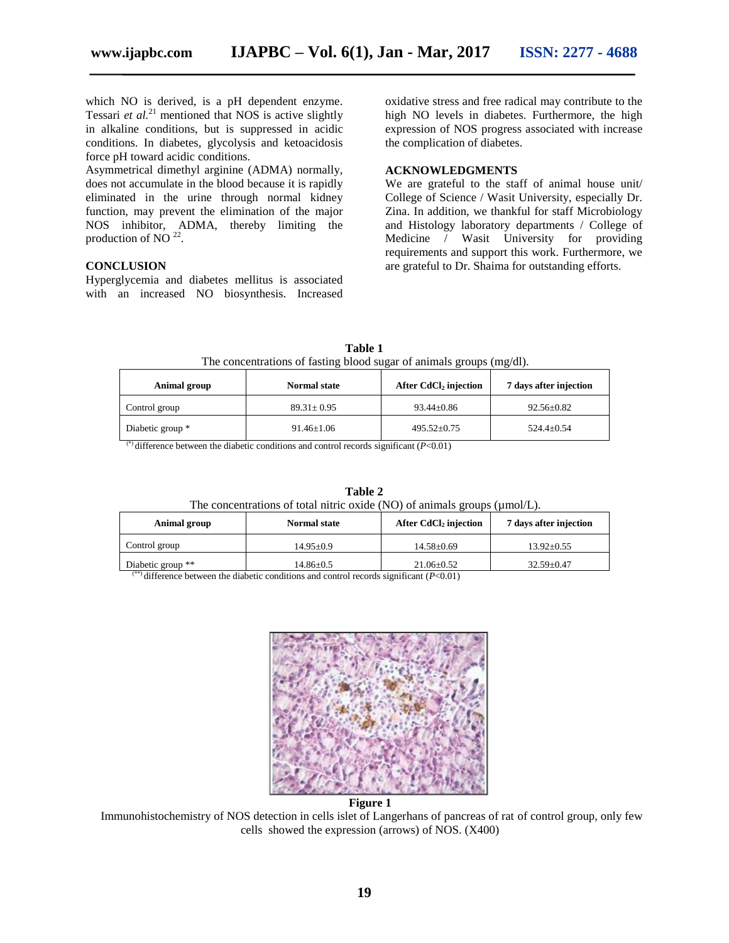which NO is derived, is a pH dependent enzyme. Tessari *et al.*<sup>21</sup> mentioned that NOS is active slightly in alkaline conditions, but is suppressed in acidic conditions. In diabetes, glycolysis and ketoacidosis force pH toward acidic conditions.

Asymmetrical dimethyl arginine (ADMA) normally, does not accumulate in the blood because it is rapidly eliminated in the urine through normal kidney function, may prevent the elimination of the major NOS inhibitor, ADMA, thereby limiting the production of NO $^{22}$ .

#### **CONCLUSION**

Hyperglycemia and diabetes mellitus is associated with an increased NO biosynthesis. Increased oxidative stress and free radical may contribute to the high NO levels in diabetes. Furthermore, the high expression of NOS progress associated with increase the complication of diabetes.

#### **ACKNOWLEDGMENTS**

We are grateful to the staff of animal house unit/ College of Science / Wasit University, especially Dr. Zina. In addition, we thankful for staff Microbiology and Histology laboratory departments / College of Medicine / Wasit University for providing requirements and support this work. Furthermore, we are grateful to Dr. Shaima for outstanding efforts.

| Animal group     | <b>Normal state</b> | After CdCl <sub>2</sub> injection | 7 days after injection |
|------------------|---------------------|-----------------------------------|------------------------|
| Control group    | $89.31 \pm 0.95$    | $93.44 \pm 0.86$                  | $92.56 \pm 0.82$       |
| Diabetic group * | $91.46 \pm 1.06$    | $495.52 \pm 0.75$                 | $524.4+0.54$           |

**Table 1** The concentrations of fasting blood sugar of animals groups (mg/dl).

(\*) difference between the diabetic conditions and control records significant  $(P<0.01)$ 

**Table 2** The concentrations of total nitric oxide (NO) of animals groups ( $\mu$ mol/L).

| Animal group      | <b>Normal state</b> | After CdCl <sub>2</sub> injection | 7 days after injection |
|-------------------|---------------------|-----------------------------------|------------------------|
| Control group     | $14.95 + 0.9$       | $14.58 \pm 0.69$                  | $13.92 \pm 0.55$       |
| Diabetic group ** | 14.86±0.5           | $21.06 \pm 0.52$                  | $32.59 \pm 0.47$       |

(\*\*) difference between the diabetic conditions and control records significant (*P*<0.01)



**Figure 1**

Immunohistochemistry of NOS detection in cells islet of Langerhans of pancreas of rat of control group, only few cells showed the expression (arrows) of NOS. (X400)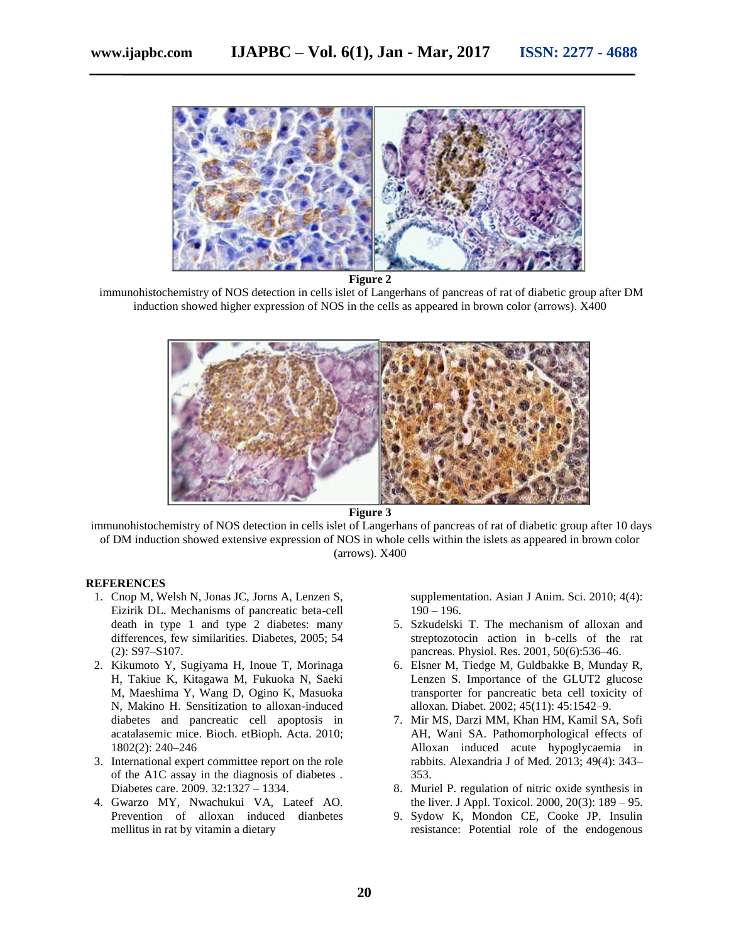

**Figure 2**

immunohistochemistry of NOS detection in cells islet of Langerhans of pancreas of rat of diabetic group after DM induction showed higher expression of NOS in the cells as appeared in brown color (arrows). X400



**Figure 3**

immunohistochemistry of NOS detection in cells islet of Langerhans of pancreas of rat of diabetic group after 10 days of DM induction showed extensive expression of NOS in whole cells within the islets as appeared in brown color (arrows). X400

### **REFERENCES**

- 1. Cnop M, Welsh N, Jonas JC, Jorns A, Lenzen S, Eizirik DL. Mechanisms of pancreatic beta-cell death in type 1 and type 2 diabetes: many differences, few similarities. Diabetes, 2005; 54 (2): S97–S107.
- 2. Kikumoto Y, Sugiyama H, Inoue T, Morinaga H, Takiue K, Kitagawa M, Fukuoka N, Saeki M, Maeshima Y, Wang D, Ogino K, Masuoka N, Makino H. Sensitization to alloxan-induced diabetes and pancreatic cell apoptosis in acatalasemic mice. Bioch. etBioph. Acta. 2010; 1802(2): 240–246
- 3. International expert committee report on the role of the A1C assay in the diagnosis of diabetes . Diabetes care. 2009. 32:1327 – 1334.
- 4. Gwarzo MY, Nwachukui VA, Lateef AO. Prevention of alloxan induced dianbetes mellitus in rat by vitamin a dietary

supplementation. Asian J Anim. Sci. 2010; 4(4):  $190 - 196.$ 

- 5. Szkudelski T. The mechanism of alloxan and streptozotocin action in b-cells of the rat pancreas. Physiol. Res. 2001, 50(6):536–46.
- 6. Elsner M, Tiedge M, Guldbakke B, Munday R, Lenzen S. Importance of the GLUT2 glucose transporter for pancreatic beta cell toxicity of alloxan. Diabet. 2002; 45(11): 45:1542–9.
- 7. Mir MS, Darzi MM, Khan HM, Kamil SA, Sofi AH, Wani SA. Pathomorphological effects of Alloxan induced acute hypoglycaemia in rabbits. Alexandria J of Med. 2013; 49(4): 343– 353.
- 8. Muriel P. regulation of nitric oxide synthesis in the liver. J Appl. Toxicol. 2000, 20(3): 189 – 95.
- 9. Sydow K, Mondon CE, Cooke JP. Insulin resistance: Potential role of the endogenous